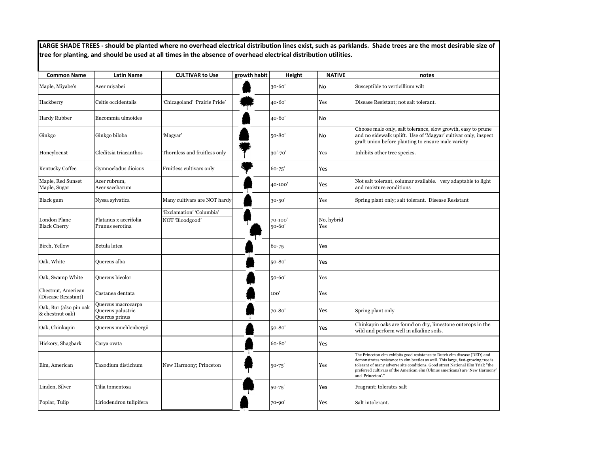**LARGE SHADE TREES - should be planted where no overhead electrical distribution lines exist, such as parklands. Shade trees are the most desirable size of tree for planting, and should be used at all times in the absence of overhead electrical distribution utilities.**

| <b>Common Name</b>                        | <b>Latin Name</b>                                         | <b>CULTIVAR to Use</b>                      | growth habit | Height            | <b>NATIVE</b>     | notes                                                                                                                                                                                                                                                                                                                                               |
|-------------------------------------------|-----------------------------------------------------------|---------------------------------------------|--------------|-------------------|-------------------|-----------------------------------------------------------------------------------------------------------------------------------------------------------------------------------------------------------------------------------------------------------------------------------------------------------------------------------------------------|
| Maple, Miyabe's                           | Acer miyabei                                              |                                             |              | 30-60'            | No                | Susceptible to verticillium wilt                                                                                                                                                                                                                                                                                                                    |
| Hackberry                                 | Celtis occidentalis                                       | 'Chicagoland' 'Prairie Pride'               |              | 40-60'            | Yes               | Disease Resistant; not salt tolerant.                                                                                                                                                                                                                                                                                                               |
| Hardy Rubber                              | Eucommia ulmoides                                         |                                             |              | 40-60'            | No                |                                                                                                                                                                                                                                                                                                                                                     |
| Ginkgo                                    | Ginkgo biloba                                             | 'Magyar'                                    |              | 50-80'            | No                | Choose male only, salt tolerance, slow growth, easy to prune<br>and no sidewalk uplift. Use of 'Magyar' cultivar only, inspect<br>graft union before planting to ensure male variety                                                                                                                                                                |
| Honeylocust                               | Gleditsia triacanthos                                     | Thornless and fruitless only                |              | 30'-70'           | Yes               | Inhibits other tree species.                                                                                                                                                                                                                                                                                                                        |
| Kentucky Coffee                           | Gymnocladus dioicus                                       | Fruitless cultivars only                    |              | 60-75'            | Yes               |                                                                                                                                                                                                                                                                                                                                                     |
| Maple, Red Sunset<br>Maple, Sugar         | Acer rubrum,<br>Acer saccharum                            |                                             |              | 40-100'           | Yes               | Not salt tolerant, columar available. very adaptable to light<br>and moisture conditions                                                                                                                                                                                                                                                            |
| Black gum                                 | Nyssa sylvatica                                           | Many cultivars are NOT hardy                |              | 30-50'            | Yes               | Spring plant only; salt tolerant. Disease Resistant                                                                                                                                                                                                                                                                                                 |
| London Plane<br><b>Black Cherry</b>       | Platanus x acerifolia<br>Prunus serotina                  | 'Exclamation' 'Columbia'<br>NOT 'Bloodgood' |              | 70-100'<br>50-60' | No, hybrid<br>Yes |                                                                                                                                                                                                                                                                                                                                                     |
| Birch, Yellow                             | Betula lutea                                              |                                             |              | 60-75             | Yes               |                                                                                                                                                                                                                                                                                                                                                     |
| Oak, White                                | Quercus alba                                              |                                             |              | 50-80'            | Yes               |                                                                                                                                                                                                                                                                                                                                                     |
| Oak, Swamp White                          | Quercus bicolor                                           |                                             |              | 50-60'            | Yes               |                                                                                                                                                                                                                                                                                                                                                     |
| Chestnut, American<br>(Disease Resistant) | Castanea dentata                                          |                                             |              | 100'              | Yes               |                                                                                                                                                                                                                                                                                                                                                     |
| Oak, Bur (also pin oak<br>& chestnut oak) | Quercus macrocarpa<br>Quercus palustric<br>Quercus prinus |                                             |              | 70-80'            | Yes               | Spring plant only                                                                                                                                                                                                                                                                                                                                   |
| Oak, Chinkapin                            | Quercus muehlenbergii                                     |                                             |              | 50-80'            | Yes               | Chinkapin oaks are found on dry, limestone outcrops in the<br>wild and perform well in alkaline soils.                                                                                                                                                                                                                                              |
| Hickory, Shagbark                         | Carya ovata                                               |                                             |              | 60-80'            | Yes               |                                                                                                                                                                                                                                                                                                                                                     |
| Elm, American                             | Taxodium distichum                                        | New Harmony; Princeton                      |              | 50-75'            | Yes               | The Princeton elm exhibits good resistance to Dutch elm disease (DED) and<br>demonstrates resistance to elm beetles as well. This large, fast-growing tree is<br>tolerant of many adverse site conditions. Good street National Elm Trial: "the<br>preferred cultivars of the American elm (Ulmus americana) are 'New Harmony'<br>and 'Princeton'." |
| Linden, Silver                            | Tilia tomentosa                                           |                                             |              | $50 - 75'$        | Yes               | Fragrant; tolerates salt                                                                                                                                                                                                                                                                                                                            |
| Poplar, Tulip                             | Liriodendron tulipifera                                   |                                             |              | $70 - 90'$        | Yes               | Salt intolerant.                                                                                                                                                                                                                                                                                                                                    |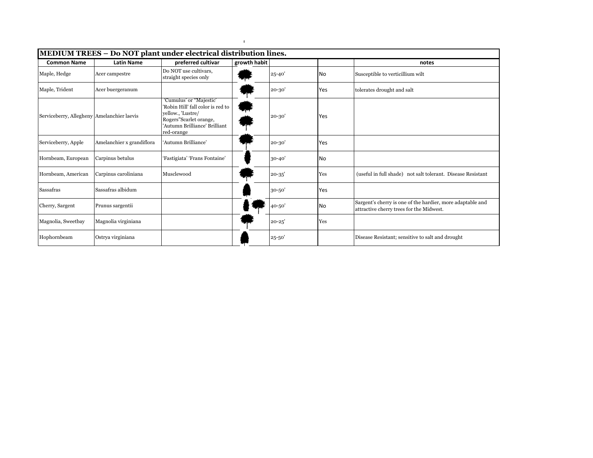| <b>Common Name</b>                         | <b>Latin Name</b>         | MEDIUM TREES - Do NOT plant under electrical distribution lines.<br>preferred cultivar                                                                     | growth habit |            |           | notes                                                                                                  |
|--------------------------------------------|---------------------------|------------------------------------------------------------------------------------------------------------------------------------------------------------|--------------|------------|-----------|--------------------------------------------------------------------------------------------------------|
| Maple, Hedge                               | Acer campestre            | Do NOT use cultivars,<br>straight species only                                                                                                             |              | $25 - 40'$ | No        | Susceptible to verticillium wilt                                                                       |
| Maple, Trident                             | Acer buergeranum          |                                                                                                                                                            |              | $20 - 30'$ | Yes       | tolerates drought and salt                                                                             |
| Serviceberry, Allegheny Amelanchier laevis |                           | 'Cumulus' or "Majestic'<br>'Robin Hill' fall color is red to<br>yellow., 'Lustre/<br>Rogers"Scarlet orange,<br>'Autumn Brilliance' Brilliant<br>red-orange |              | $20 - 30$  | Yes       |                                                                                                        |
| Serviceberry, Apple                        | Amelanchier x grandiflora | 'Autumn Brilliance'                                                                                                                                        |              | $20 - 30'$ | Yes       |                                                                                                        |
| Hornbeam, European                         | Carpinus betulus          | 'Fastigiata' 'Frans Fontaine'                                                                                                                              |              | $30 - 40'$ | <b>No</b> |                                                                                                        |
| Hornbeam, American                         | Carpinus caroliniana      | Musclewood                                                                                                                                                 |              | $20 - 35'$ | Yes       | (useful in full shade) not salt tolerant. Disease Resistant                                            |
| Sassafras                                  | Sassafras albidum         |                                                                                                                                                            |              | $30 - 50'$ | Yes       |                                                                                                        |
| Cherry, Sargent                            | Prunus sargentii          |                                                                                                                                                            |              | 40-50      | <b>No</b> | Sargent's cherry is one of the hardier, more adaptable and<br>attractive cherry trees for the Midwest. |
| Magnolia, Sweetbay                         | Magnolia virginiana       |                                                                                                                                                            |              | $20 - 25'$ | Yes       |                                                                                                        |
| Hophornbeam                                | Ostrya virginiana         |                                                                                                                                                            |              | 25-50      |           | Disease Resistant; sensitive to salt and drought                                                       |